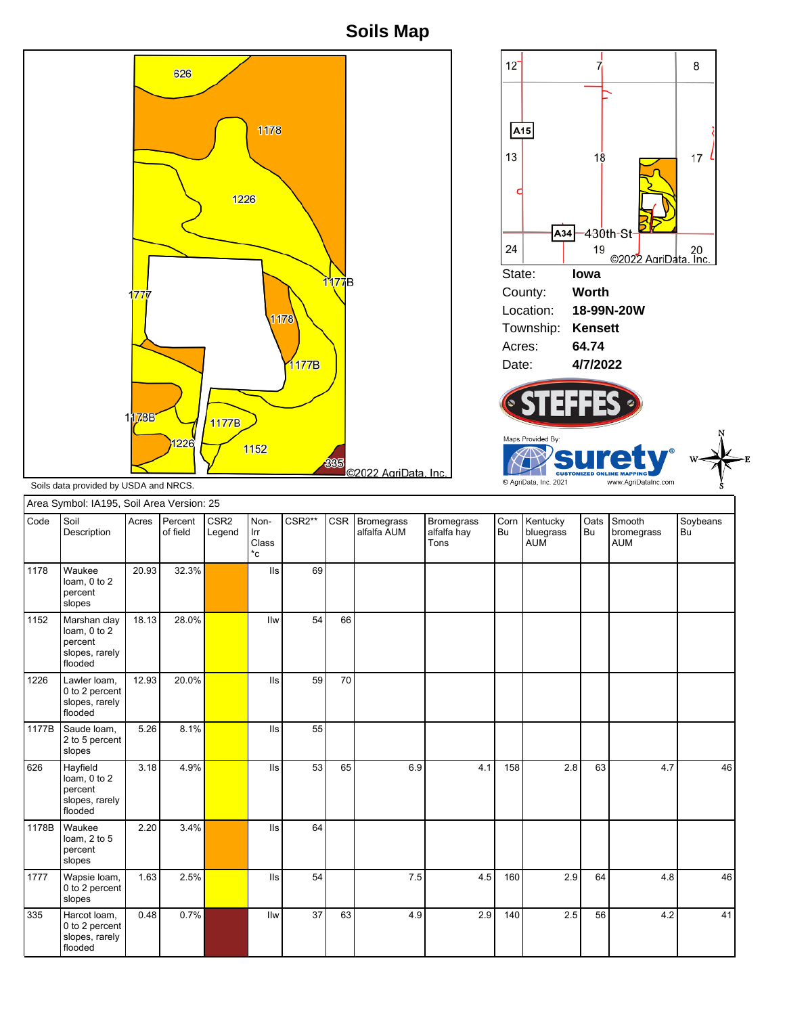**Soils Map**